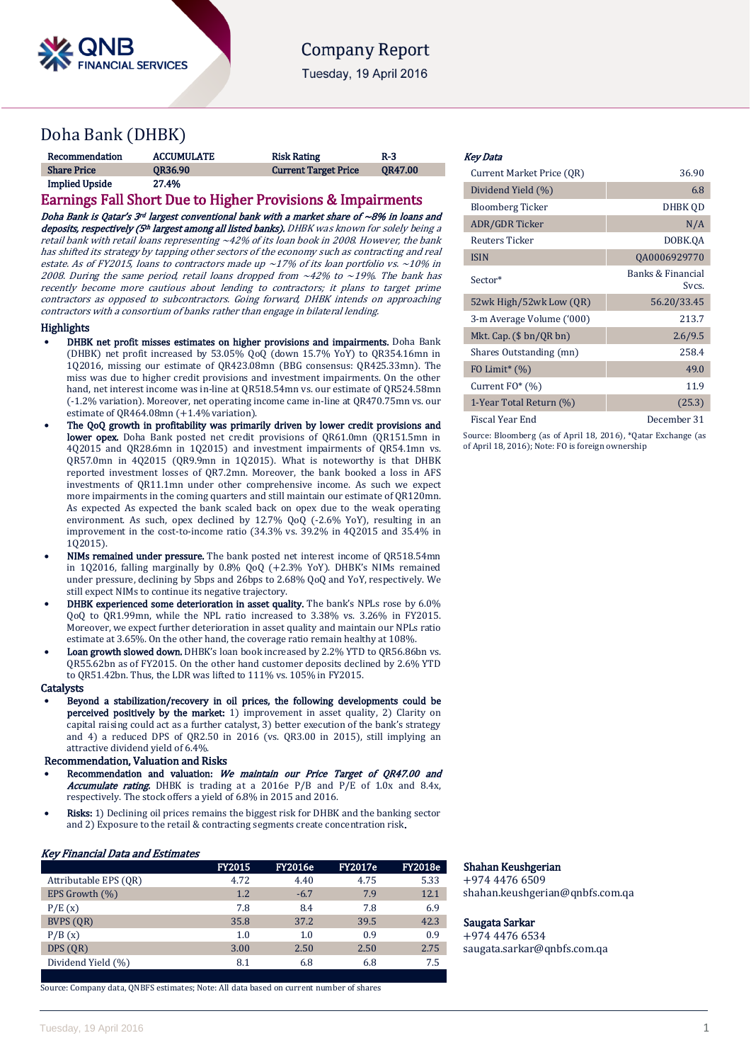

# **Company Report**

Tuesday, 19 April 2016

# Doha Bank (DHBK)

| Recommendation        | <b>ACCUMULATE</b> | <b>Risk Rating</b>          | $R-3$          |
|-----------------------|-------------------|-----------------------------|----------------|
| <b>Share Price</b>    | <b>OR36.90</b>    | <b>Current Target Price</b> | <b>OR47.00</b> |
| <b>Implied Upside</b> | 27.4%             |                             |                |

## Earnings Fall Short Due to Higher Provisions & Impairments

Doha Bank is Oatar's  $3<sup>rd</sup>$  largest conventional bank with a market share of ~8% in loans and deposits, respectively (5<sup>th</sup> largest among all listed banks). DHBK was known for solely being a retail bank with retail loans representing ~42% of its loan book in 2008. However, the bank has shifted its strategy by tapping other sectors of the economy such as contracting and real estate. As of FY2015, loans to contractors made up  $\sim$ 17% of its loan portfolio vs.  $\sim$ 10% in 2008. During the same period, retail loans dropped from  $\sim$ 42% to  $\sim$ 19%. The bank has recently become more cautious about lending to contractors; it plans to target prime contractors as opposed to subcontractors. Going forward, DHBK intends on approaching contractors with a consortium of banks rather than engage in bilateral lending.

## **Highlights**

- DHBK net profit misses estimates on higher provisions and impairments. Doha Bank (DHBK) net profit increased by 53.05% QoQ (down 15.7% YoY) to QR354.16mn in 1Q2016, missing our estimate of QR423.08mn (BBG consensus: QR425.33mn). The miss was due to higher credit provisions and investment impairments. On the other hand, net interest income was in-line at QR518.54mn vs. our estimate of QR524.58mn (-1.2% variation). Moreover, net operating income came in-line at QR470.75mn vs. our estimate of QR464.08mn (+1.4% variation).
- The QoQ growth in profitability was primarily driven by lower credit provisions and lower opex. Doha Bank posted net credit provisions of QR61.0mn (QR151.5mn in 4Q2015 and QR28.6mn in 1Q2015) and investment impairments of QR54.1mn vs. QR57.0mn in 4Q2015 (QR9.9mn in 1Q2015). What is noteworthy is that DHBK reported investment losses of QR7.2mn. Moreover, the bank booked a loss in AFS investments of QR11.1mn under other comprehensive income. As such we expect more impairments in the coming quarters and still maintain our estimate of QR120mn. As expected As expected the bank scaled back on opex due to the weak operating environment. As such, opex declined by 12.7% QoQ (-2.6% YoY), resulting in an improvement in the cost-to-income ratio (34.3% vs. 39.2% in 4Q2015 and 35.4% in 1Q2015).
- NIMs remained under pressure. The bank posted net interest income of QR518.54mn in 1Q2016, falling marginally by 0.8% QoQ (+2.3% YoY). DHBK's NIMs remained under pressure, declining by 5bps and 26bps to 2.68% QoQ and YoY, respectively. We still expect NIMs to continue its negative trajectory.
- DHBK experienced some deterioration in asset quality. The bank's NPLs rose by 6.0% QoQ to QR1.99mn, while the NPL ratio increased to 3.38% vs. 3.26% in FY2015. Moreover, we expect further deterioration in asset quality and maintain our NPLs ratio estimate at 3.65%. On the other hand, the coverage ratio remain healthy at 108%.
- Loan growth slowed down. DHBK's loan book increased by 2.2% YTD to QR56.86bn vs. QR55.62bn as of FY2015. On the other hand customer deposits declined by 2.6% YTD to QR51.42bn. Thus, the LDR was lifted to 111% vs. 105% in FY2015.

## **Catalysts**

 Beyond a stabilization/recovery in oil prices, the following developments could be perceived positively by the market: 1) improvement in asset quality, 2) Clarity on capital raising could act as a further catalyst, 3) better execution of the bank's strategy and 4) a reduced DPS of QR2.50 in 2016 (vs. QR3.00 in 2015), still implying an attractive dividend yield of 6.4%.

## Recommendation, Valuation and Risks

- Recommendation and valuation: We maintain our Price Target of QR47.00 and **Accumulate rating.** DHBK is trading at a 2016e P/B and P/E of 1.0x and 8.4x, respectively. The stock offers a yield of 6.8% in 2015 and 2016.
- Risks: 1) Declining oil prices remains the biggest risk for DHBK and the banking sector and 2) Exposure to the retail & contracting segments create concentration risk.

## Key Financial Data and Estimates

|                       | <b>FY2015</b> | <b>FY2016e</b> | <b>FY2017e</b> | <b>FY2018e</b> |
|-----------------------|---------------|----------------|----------------|----------------|
| Attributable EPS (OR) | 4.72          | 4.40           | 4.75           | 5.33           |
| EPS Growth $(\%)$     | 1.2           | $-6.7$         | 7.9            | 12.1           |
| P/E(x)                | 7.8           | 8.4            | 7.8            | 6.9            |
| BVPS (OR)             | 35.8          | 37.2           | 39.5           | 42.3           |
| P/B(x)                | 1.0           | 1.0            | 0.9            | 0.9            |
| DPS (OR)              | 3.00          | 2.50           | 2.50           | 2.75           |
| Dividend Yield (%)    | 8.1           | 6.8            | 6.8            | 7.5            |

Source: Company data, QNBFS estimates; Note: All data based on current number of shares

## Key Data

| Current Market Price (QR)    | 36.90                      |
|------------------------------|----------------------------|
| Dividend Yield (%)           | 6.8                        |
| Bloomberg Ticker             | DHBK OD                    |
| ADR/GDR Ticker               | N/A                        |
| Reuters Ticker               | DOBK.QA                    |
| <b>ISIN</b>                  | QA0006929770               |
| Sector*                      | Banks & Financial<br>Svcs. |
| 52wk High/52wk Low (QR)      | 56.20/33.45                |
| 3-m Average Volume ('000)    | 213.7                      |
| Mkt. Cap. $(\$$ bn/QR bn)    | 2.6/9.5                    |
| Shares Outstanding (mn)      | 258.4                      |
| FO Limit <sup>*</sup> $(\%)$ | 49.0                       |
| Current $FO^*(\%)$           | 11.9                       |
| 1-Year Total Return (%)      | (25.3)                     |
| Fiscal Year End              | December 31                |

Source: Bloomberg (as of April 18, 2016), \*Qatar Exchange (as of April 18, 2016); Note: FO is foreign ownership

## Shahan Keushgerian

+974 4476 6509 shahan.keushgerian@qnbfs.com.qa

## Saugata Sarkar

+974 4476 6534 saugata.sarkar@qnbfs.com.qa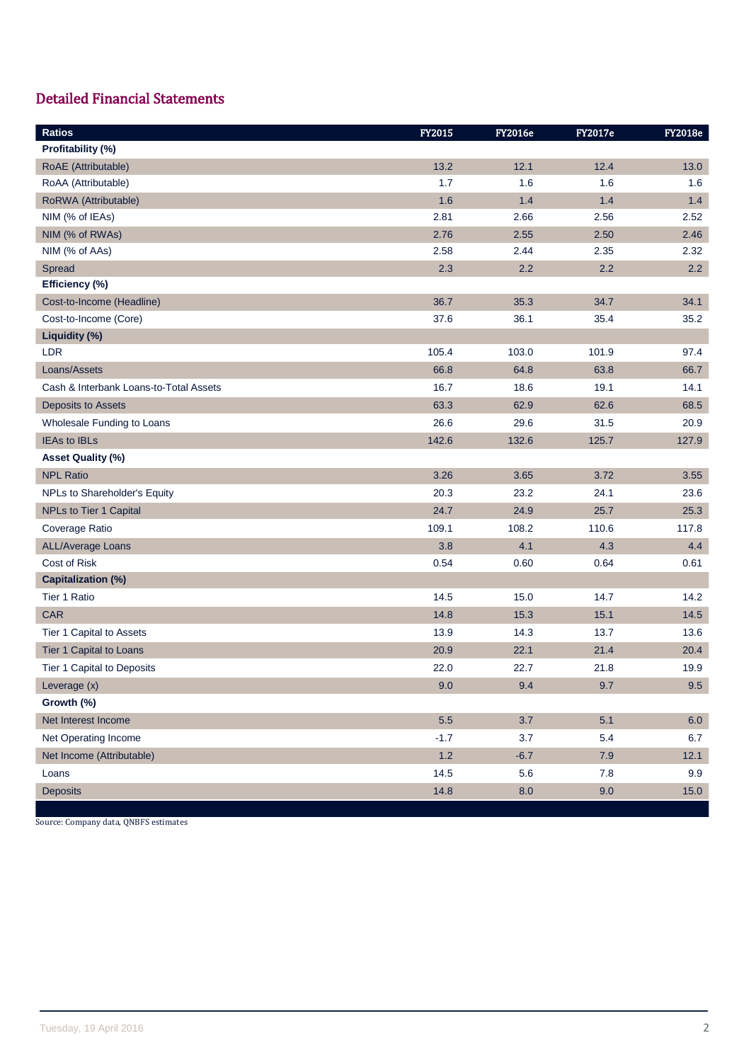# Detailed Financial Statements

| <b>Ratios</b>                          | FY2015 | <b>FY2016e</b> | <b>FY2017e</b> | <b>FY2018e</b> |
|----------------------------------------|--------|----------------|----------------|----------------|
| Profitability (%)                      |        |                |                |                |
| RoAE (Attributable)                    | 13.2   | 12.1           | 12.4           | 13.0           |
| RoAA (Attributable)                    | 1.7    | 1.6            | 1.6            | 1.6            |
| RoRWA (Attributable)                   | 1.6    | 1.4            | 1.4            | 1.4            |
| NIM (% of IEAs)                        | 2.81   | 2.66           | 2.56           | 2.52           |
| NIM (% of RWAs)                        | 2.76   | 2.55           | 2.50           | 2.46           |
| NIM (% of AAs)                         | 2.58   | 2.44           | 2.35           | 2.32           |
| Spread                                 | 2.3    | 2.2            | 2.2            | 2.2            |
| Efficiency (%)                         |        |                |                |                |
| Cost-to-Income (Headline)              | 36.7   | 35.3           | 34.7           | 34.1           |
| Cost-to-Income (Core)                  | 37.6   | 36.1           | 35.4           | 35.2           |
| Liquidity (%)                          |        |                |                |                |
| LDR                                    | 105.4  | 103.0          | 101.9          | 97.4           |
| Loans/Assets                           | 66.8   | 64.8           | 63.8           | 66.7           |
| Cash & Interbank Loans-to-Total Assets | 16.7   | 18.6           | 19.1           | 14.1           |
| <b>Deposits to Assets</b>              | 63.3   | 62.9           | 62.6           | 68.5           |
| Wholesale Funding to Loans             | 26.6   | 29.6           | 31.5           | 20.9           |
| <b>IEAs to IBLs</b>                    | 142.6  | 132.6          | 125.7          | 127.9          |
| Asset Quality (%)                      |        |                |                |                |
| <b>NPL Ratio</b>                       | 3.26   | 3.65           | 3.72           | 3.55           |
| NPLs to Shareholder's Equity           | 20.3   | 23.2           | 24.1           | 23.6           |
| NPLs to Tier 1 Capital                 | 24.7   | 24.9           | 25.7           | 25.3           |
| Coverage Ratio                         | 109.1  | 108.2          | 110.6          | 117.8          |
| <b>ALL/Average Loans</b>               | 3.8    | 4.1            | 4.3            | 4.4            |
| Cost of Risk                           | 0.54   | 0.60           | 0.64           | 0.61           |
| <b>Capitalization (%)</b>              |        |                |                |                |
| Tier 1 Ratio                           | 14.5   | 15.0           | 14.7           | 14.2           |
| <b>CAR</b>                             | 14.8   | 15.3           | 15.1           | 14.5           |
| Tier 1 Capital to Assets               | 13.9   | 14.3           | 13.7           | 13.6           |
| Tier 1 Capital to Loans                | 20.9   | 22.1           | 21.4           | 20.4           |
| Tier 1 Capital to Deposits             | 22.0   | 22.7           | 21.8           | 19.9           |
| Leverage (x)                           | 9.0    | 9.4            | 9.7            | 9.5            |
| Growth (%)                             |        |                |                |                |
| Net Interest Income                    | 5.5    | 3.7            | 5.1            | 6.0            |
| Net Operating Income                   | $-1.7$ | 3.7            | 5.4            | 6.7            |
| Net Income (Attributable)              | $1.2$  | $-6.7$         | 7.9            | 12.1           |
| Loans                                  | 14.5   | 5.6            | 7.8            | 9.9            |
| <b>Deposits</b>                        | 14.8   | 8.0            | 9.0            | 15.0           |

Source: Company data, QNBFS estimates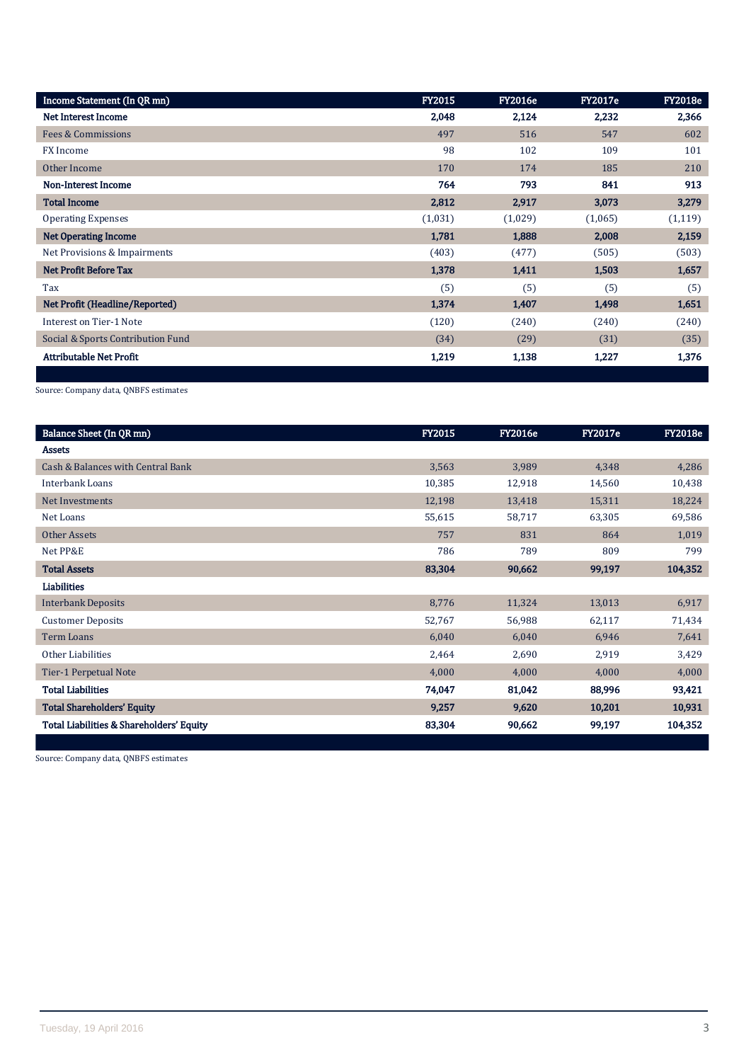| Income Statement (In QR mn)       | <b>FY2015</b> | <b>FY2016e</b> | <b>FY2017e</b> | <b>FY2018e</b> |
|-----------------------------------|---------------|----------------|----------------|----------------|
| <b>Net Interest Income</b>        | 2,048         | 2,124          | 2,232          | 2,366          |
| Fees & Commissions                | 497           | 516            | 547            | 602            |
| FX Income                         | 98            | 102            | 109            | 101            |
| Other Income                      | 170           | 174            | 185            | 210            |
| <b>Non-Interest Income</b>        | 764           | 793            | 841            | 913            |
| <b>Total Income</b>               | 2,812         | 2,917          | 3,073          | 3,279          |
| <b>Operating Expenses</b>         | (1,031)       | (1,029)        | (1,065)        | (1, 119)       |
| <b>Net Operating Income</b>       | 1,781         | 1,888          | 2,008          | 2,159          |
| Net Provisions & Impairments      | (403)         | (477)          | (505)          | (503)          |
| <b>Net Profit Before Tax</b>      | 1,378         | 1,411          | 1,503          | 1,657          |
| Tax                               | (5)           | (5)            | (5)            | (5)            |
| Net Profit (Headline/Reported)    | 1,374         | 1,407          | 1,498          | 1,651          |
| Interest on Tier-1 Note           | (120)         | (240)          | (240)          | (240)          |
| Social & Sports Contribution Fund | (34)          | (29)           | (31)           | (35)           |
| <b>Attributable Net Profit</b>    | 1,219         | 1,138          | 1,227          | 1,376          |
|                                   |               |                |                |                |

Source: Company data, QNBFS estimates

| Balance Sheet (In QR mn)                 | <b>FY2015</b> | <b>FY2016e</b> | <b>FY2017e</b> | <b>FY2018e</b> |
|------------------------------------------|---------------|----------------|----------------|----------------|
| <b>Assets</b>                            |               |                |                |                |
| Cash & Balances with Central Bank        | 3,563         | 3,989          | 4,348          | 4,286          |
| <b>Interbank Loans</b>                   | 10,385        | 12,918         | 14,560         | 10,438         |
| Net Investments                          | 12,198        | 13,418         | 15,311         | 18,224         |
| Net Loans                                | 55,615        | 58,717         | 63,305         | 69,586         |
| <b>Other Assets</b>                      | 757           | 831            | 864            | 1,019          |
| Net PP&E                                 | 786           | 789            | 809            | 799            |
| <b>Total Assets</b>                      | 83,304        | 90,662         | 99,197         | 104,352        |
| Liabilities                              |               |                |                |                |
| <b>Interbank Deposits</b>                | 8,776         | 11,324         | 13,013         | 6,917          |
| <b>Customer Deposits</b>                 | 52,767        | 56,988         | 62,117         | 71,434         |
| Term Loans                               | 6,040         | 6,040          | 6,946          | 7,641          |
| Other Liabilities                        | 2,464         | 2,690          | 2,919          | 3,429          |
| Tier-1 Perpetual Note                    | 4,000         | 4,000          | 4,000          | 4,000          |
| <b>Total Liabilities</b>                 | 74,047        | 81,042         | 88,996         | 93,421         |
| <b>Total Shareholders' Equity</b>        | 9,257         | 9,620          | 10,201         | 10,931         |
| Total Liabilities & Shareholders' Equity | 83,304        | 90,662         | 99,197         | 104,352        |

Source: Company data, QNBFS estimates